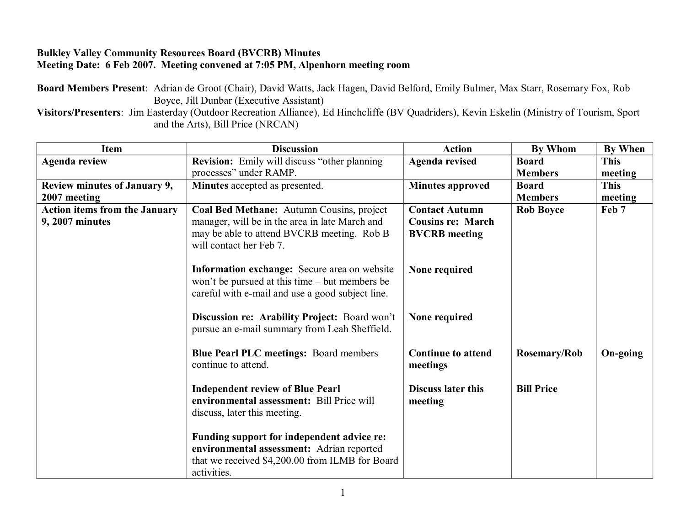## **Bulkley Valley Community Resources Board (BVCRB) Minutes Meeting Date: 6 Feb 2007. Meeting convened at 7:05 PM, Alpenhorn meeting room**

**Board Members Present**: Adrian de Groot (Chair), David Watts, Jack Hagen, David Belford, Emily Bulmer, Max Starr, Rosemary Fox, Rob Boyce, Jill Dunbar (Executive Assistant)

**Visitors/Presenters**: Jim Easterday (Outdoor Recreation Alliance), Ed Hinchcliffe (BV Quadriders), Kevin Eskelin (Ministry of Tourism, Sport and the Arts), Bill Price (NRCAN)

| Item                                 | <b>Discussion</b>                                                                                                                                         | <b>Action</b>                         | By Whom             | By When     |
|--------------------------------------|-----------------------------------------------------------------------------------------------------------------------------------------------------------|---------------------------------------|---------------------|-------------|
| <b>Agenda review</b>                 | <b>Revision:</b> Emily will discuss "other planning                                                                                                       | <b>Agenda revised</b>                 | <b>Board</b>        | <b>This</b> |
|                                      | processes" under RAMP.                                                                                                                                    |                                       | <b>Members</b>      | meeting     |
| Review minutes of January 9,         | Minutes accepted as presented.                                                                                                                            | <b>Minutes approved</b>               | <b>Board</b>        | <b>This</b> |
| 2007 meeting                         |                                                                                                                                                           |                                       | <b>Members</b>      | meeting     |
| <b>Action items from the January</b> | Coal Bed Methane: Autumn Cousins, project                                                                                                                 | <b>Contact Autumn</b>                 | <b>Rob Boyce</b>    | Feb 7       |
| 9, 2007 minutes                      | manager, will be in the area in late March and                                                                                                            | <b>Cousins re: March</b>              |                     |             |
|                                      | may be able to attend BVCRB meeting. Rob B<br>will contact her Feb 7.                                                                                     | <b>BVCRB</b> meeting                  |                     |             |
|                                      | Information exchange: Secure area on website<br>won't be pursued at this time – but members be<br>careful with e-mail and use a good subject line.        | None required                         |                     |             |
|                                      | Discussion re: Arability Project: Board won't<br>pursue an e-mail summary from Leah Sheffield.                                                            | None required                         |                     |             |
|                                      | <b>Blue Pearl PLC meetings: Board members</b><br>continue to attend.                                                                                      | <b>Continue to attend</b><br>meetings | <b>Rosemary/Rob</b> | On-going    |
|                                      | <b>Independent review of Blue Pearl</b><br>environmental assessment: Bill Price will<br>discuss, later this meeting.                                      | <b>Discuss later this</b><br>meeting  | <b>Bill Price</b>   |             |
|                                      | Funding support for independent advice re:<br>environmental assessment: Adrian reported<br>that we received \$4,200.00 from ILMB for Board<br>activities. |                                       |                     |             |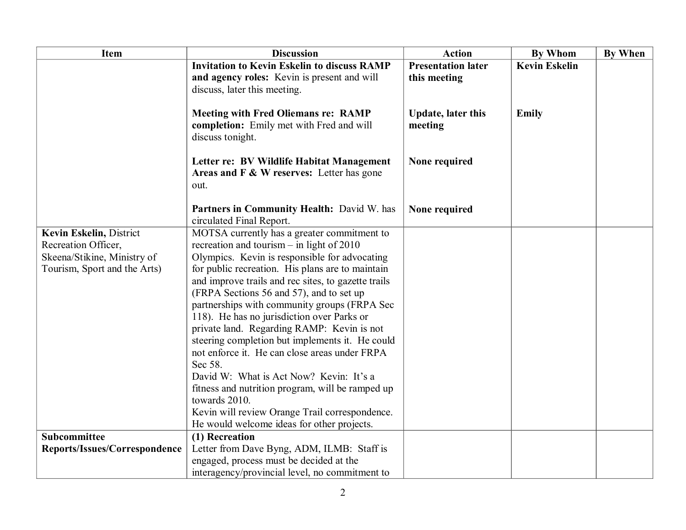| Item                          | <b>Discussion</b>                                                                                          | <b>Action</b>                        | <b>By Whom</b>       | <b>By When</b> |
|-------------------------------|------------------------------------------------------------------------------------------------------------|--------------------------------------|----------------------|----------------|
|                               | <b>Invitation to Kevin Eskelin to discuss RAMP</b>                                                         | <b>Presentation later</b>            | <b>Kevin Eskelin</b> |                |
|                               | and agency roles: Kevin is present and will                                                                | this meeting                         |                      |                |
|                               | discuss, later this meeting.                                                                               |                                      |                      |                |
|                               | <b>Meeting with Fred Oliemans re: RAMP</b><br>completion: Emily met with Fred and will<br>discuss tonight. | <b>Update, later this</b><br>meeting | Emily                |                |
|                               | Letter re: BV Wildlife Habitat Management<br>Areas and F & W reserves: Letter has gone<br>out.             | None required                        |                      |                |
|                               | Partners in Community Health: David W. has<br>circulated Final Report.                                     | None required                        |                      |                |
| Kevin Eskelin, District       | MOTSA currently has a greater commitment to                                                                |                                      |                      |                |
| Recreation Officer,           | recreation and tourism $-$ in light of 2010                                                                |                                      |                      |                |
| Skeena/Stikine, Ministry of   | Olympics. Kevin is responsible for advocating                                                              |                                      |                      |                |
| Tourism, Sport and the Arts)  | for public recreation. His plans are to maintain                                                           |                                      |                      |                |
|                               | and improve trails and rec sites, to gazette trails                                                        |                                      |                      |                |
|                               | (FRPA Sections 56 and 57), and to set up                                                                   |                                      |                      |                |
|                               | partnerships with community groups (FRPA Sec                                                               |                                      |                      |                |
|                               | 118). He has no jurisdiction over Parks or                                                                 |                                      |                      |                |
|                               | private land. Regarding RAMP: Kevin is not                                                                 |                                      |                      |                |
|                               | steering completion but implements it. He could                                                            |                                      |                      |                |
|                               | not enforce it. He can close areas under FRPA                                                              |                                      |                      |                |
|                               | Sec 58.                                                                                                    |                                      |                      |                |
|                               | David W: What is Act Now? Kevin: It's a                                                                    |                                      |                      |                |
|                               | fitness and nutrition program, will be ramped up                                                           |                                      |                      |                |
|                               | towards 2010.                                                                                              |                                      |                      |                |
|                               | Kevin will review Orange Trail correspondence.                                                             |                                      |                      |                |
|                               | He would welcome ideas for other projects.                                                                 |                                      |                      |                |
| Subcommittee                  | $(1)$ Recreation                                                                                           |                                      |                      |                |
| Reports/Issues/Correspondence | Letter from Dave Byng, ADM, ILMB: Staff is                                                                 |                                      |                      |                |
|                               | engaged, process must be decided at the                                                                    |                                      |                      |                |
|                               | interagency/provincial level, no commitment to                                                             |                                      |                      |                |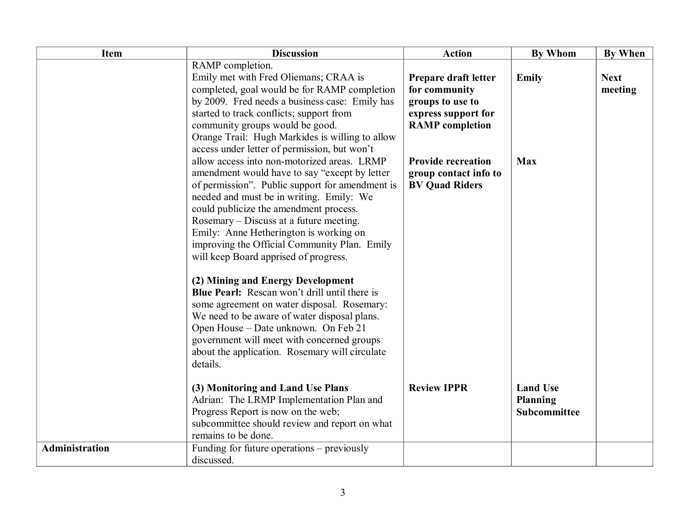| <b>Item</b>    | <b>Discussion</b>                                                                           | <b>Action</b>             | <b>By Whom</b>  | <b>By When</b> |
|----------------|---------------------------------------------------------------------------------------------|---------------------------|-----------------|----------------|
|                | RAMP completion.                                                                            |                           |                 |                |
|                | Emily met with Fred Oliemans; CRAA is                                                       | Prepare draft letter      | <b>Emily</b>    | <b>Next</b>    |
|                | completed, goal would be for RAMP completion                                                | for community             |                 | meeting        |
|                | by 2009. Fred needs a business case: Emily has                                              | groups to use to          |                 |                |
|                | started to track conflicts; support from                                                    | express support for       |                 |                |
|                | community groups would be good.                                                             | <b>RAMP</b> completion    |                 |                |
|                | Orange Trail: Hugh Markides is willing to allow                                             |                           |                 |                |
|                | access under letter of permission, but won't                                                |                           |                 |                |
|                | allow access into non-motorized areas. LRMP                                                 | <b>Provide recreation</b> | <b>Max</b>      |                |
|                | amendment would have to say "except by letter                                               | group contact info to     |                 |                |
|                | of permission". Public support for amendment is<br>needed and must be in writing. Emily: We | <b>BV Quad Riders</b>     |                 |                |
|                | could publicize the amendment process.                                                      |                           |                 |                |
|                | Rosemary – Discuss at a future meeting.                                                     |                           |                 |                |
|                | Emily: Anne Hetherington is working on                                                      |                           |                 |                |
|                | improving the Official Community Plan. Emily                                                |                           |                 |                |
|                | will keep Board apprised of progress.                                                       |                           |                 |                |
|                |                                                                                             |                           |                 |                |
|                | (2) Mining and Energy Development                                                           |                           |                 |                |
|                | <b>Blue Pearl:</b> Rescan won't drill until there is                                        |                           |                 |                |
|                | some agreement on water disposal. Rosemary:                                                 |                           |                 |                |
|                | We need to be aware of water disposal plans.                                                |                           |                 |                |
|                | Open House - Date unknown. On Feb 21                                                        |                           |                 |                |
|                | government will meet with concerned groups                                                  |                           |                 |                |
|                | about the application. Rosemary will circulate                                              |                           |                 |                |
|                | details.                                                                                    |                           |                 |                |
|                | (3) Monitoring and Land Use Plans                                                           | <b>Review IPPR</b>        | <b>Land Use</b> |                |
|                | Adrian: The LRMP Implementation Plan and                                                    |                           | <b>Planning</b> |                |
|                | Progress Report is now on the web;                                                          |                           | Subcommittee    |                |
|                | subcommittee should review and report on what                                               |                           |                 |                |
|                | remains to be done.                                                                         |                           |                 |                |
| Administration | Funding for future operations - previously                                                  |                           |                 |                |
|                | discussed.                                                                                  |                           |                 |                |